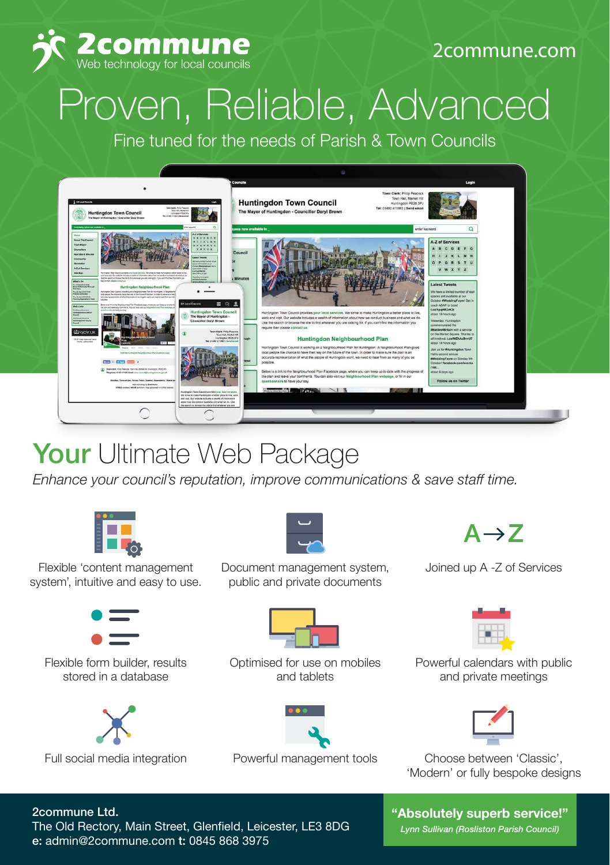

#### 2commune.com

# Proven, Reliable, Advanced

Fine tuned for the needs of Parish & Town Councils



### Your Ultimate Web Package

*Enhance your council's reputation, improve communications & save staff time.*



Flexible 'content management system', intuitive and easy to use.



Flexible form builder, results stored in a database





Document management system, public and private documents



Optimised for use on mobiles and tablets



 $A \rightarrow Z$ 

Joined up A -Z of Services



Powerful calendars with public and private meetings



Full social media integration Powerful management tools Choose between 'Classic', 'Modern' or fully bespoke designs

#### 2commune Ltd.

The Old Rectory, Main Street, Glenfield, Leicester, LE3 8DG e: admin@2commune.com t: 0845 868 3975

**"Absolutely superb service!"**

*Lynn Sullivan (Rosliston Parish Council)*